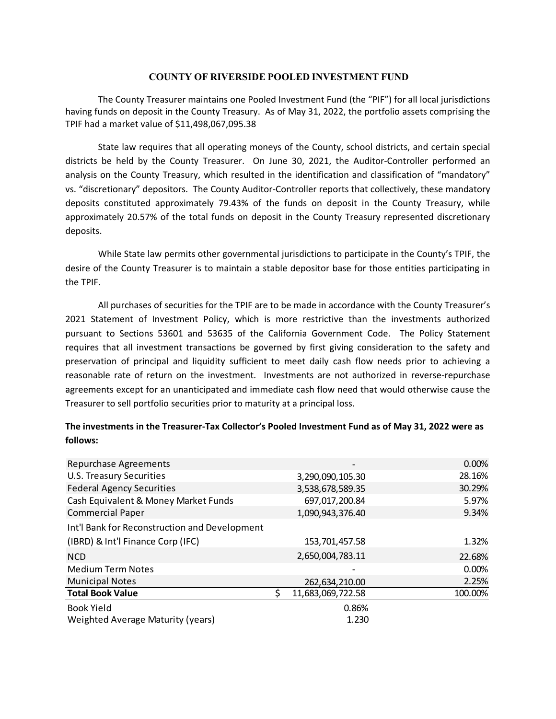## **COUNTY OF RIVERSIDE POOLED INVESTMENT FUND**

The County Treasurer maintains one Pooled Investment Fund (the "PIF") for all local jurisdictions having funds on deposit in the County Treasury. As of May 31, 2022, the portfolio assets comprising the TPIF had a market value of \$11,498,067,095.38

State law requires that all operating moneys of the County, school districts, and certain special districts be held by the County Treasurer. On June 30, 2021, the Auditor-Controller performed an analysis on the County Treasury, which resulted in the identification and classification of "mandatory" vs. "discretionary" depositors. The County Auditor‐Controller reports that collectively, these mandatory deposits constituted approximately 79.43% of the funds on deposit in the County Treasury, while approximately 20.57% of the total funds on deposit in the County Treasury represented discretionary deposits.

While State law permits other governmental jurisdictions to participate in the County's TPIF, the desire of the County Treasurer is to maintain a stable depositor base for those entities participating in the TPIF.

All purchases of securities for the TPIF are to be made in accordance with the County Treasurer's 2021 Statement of Investment Policy, which is more restrictive than the investments authorized pursuant to Sections 53601 and 53635 of the California Government Code. The Policy Statement requires that all investment transactions be governed by first giving consideration to the safety and preservation of principal and liquidity sufficient to meet daily cash flow needs prior to achieving a reasonable rate of return on the investment. Investments are not authorized in reverse-repurchase agreements except for an unanticipated and immediate cash flow need that would otherwise cause the Treasurer to sell portfolio securities prior to maturity at a principal loss.

## **The investments in the Treasurer‐Tax Collector's Pooled Investment Fund as of May 31, 2022 were as follows:**

| <b>Repurchase Agreements</b>                  |                        | 0.00%    |
|-----------------------------------------------|------------------------|----------|
| <b>U.S. Treasury Securities</b>               | 3,290,090,105.30       | 28.16%   |
| <b>Federal Agency Securities</b>              | 3,538,678,589.35       | 30.29%   |
| Cash Equivalent & Money Market Funds          | 697,017,200.84         | 5.97%    |
| <b>Commercial Paper</b>                       | 1,090,943,376.40       | 9.34%    |
| Int'l Bank for Reconstruction and Development |                        |          |
| (IBRD) & Int'l Finance Corp (IFC)             | 153,701,457.58         | 1.32%    |
| <b>NCD</b>                                    | 2,650,004,783.11       | 22.68%   |
| <b>Medium Term Notes</b>                      |                        | $0.00\%$ |
| <b>Municipal Notes</b>                        | 262,634,210.00         | 2.25%    |
| <b>Total Book Value</b>                       | ς<br>11,683,069,722.58 | 100.00%  |
| <b>Book Yield</b>                             | 0.86%                  |          |
| Weighted Average Maturity (years)             | 1.230                  |          |